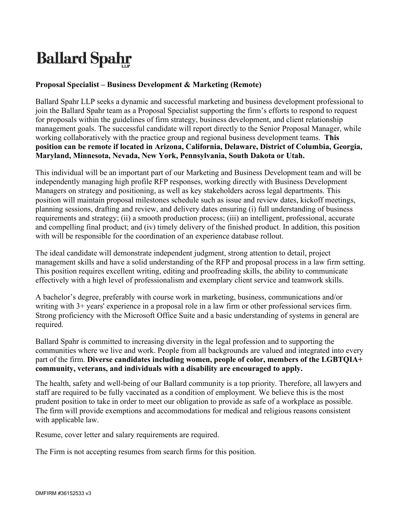## **Ballard Spahr**

## **Proposal Specialist – Business Development & Marketing (Remote)**

Ballard Spahr LLP seeks a dynamic and successful marketing and business development professional to join the Ballard Spahr team as a Proposal Specialist supporting the firm's efforts to respond to request for proposals within the guidelines of firm strategy, business development, and client relationship management goals. The successful candidate will report directly to the Senior Proposal Manager, while working collaboratively with the practice group and regional business development teams. **This position can be remote if located in Arizona, California, Delaware, District of Columbia, Georgia, Maryland, Minnesota, Nevada, New York, Pennsylvania, South Dakota or Utah.**

This individual will be an important part of our Marketing and Business Development team and will be independently managing high profile RFP responses, working directly with Business Development Managers on strategy and positioning, as well as key stakeholders across legal departments. This position will maintain proposal milestones schedule such as issue and review dates, kickoff meetings, planning sessions, drafting and review, and delivery dates ensuring (i) full understanding of business requirements and strategy; (ii) a smooth production process; (iii) an intelligent, professional, accurate and compelling final product; and (iv) timely delivery of the finished product. In addition, this position with will be responsible for the coordination of an experience database rollout.

The ideal candidate will demonstrate independent judgment, strong attention to detail, project management skills and have a solid understanding of the RFP and proposal process in a law firm setting. This position requires excellent writing, editing and proofreading skills, the ability to communicate effectively with a high level of professionalism and exemplary client service and teamwork skills.

A bachelor's degree, preferably with course work in marketing, business, communications and/or writing with 3+ years' experience in a proposal role in a law firm or other professional services firm. Strong proficiency with the Microsoft Office Suite and a basic understanding of systems in general are required.

Ballard Spahr is committed to increasing diversity in the legal profession and to supporting the communities where we live and work. People from all backgrounds are valued and integrated into every part of the firm. **Diverse candidates including women, people of color, members of the LGBTQIA+ community, veterans, and individuals with a disability are encouraged to apply.**

The health, safety and well-being of our Ballard community is a top priority. Therefore, all lawyers and staff are required to be fully vaccinated as a condition of employment. We believe this is the most prudent position to take in order to meet our obligation to provide as safe of a workplace as possible. The firm will provide exemptions and accommodations for medical and religious reasons consistent with applicable law.

Resume, cover letter and salary requirements are required.

The Firm is not accepting resumes from search firms for this position.